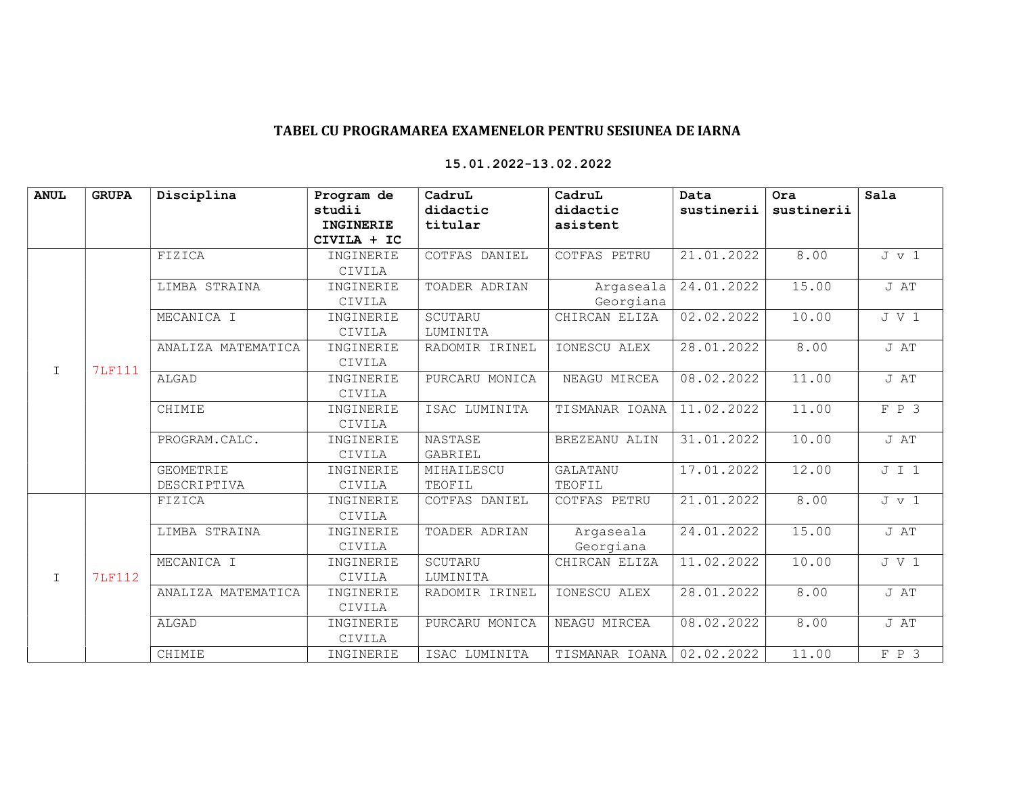## TABEL CU PROGRAMAREA EXAMENELOR PENTRU SESIUNEA DE IARNA

| <b>ANUL</b>  | <b>GRUPA</b>  | Disciplina         | Program de  | CadruL         | CadruL          | Data       | Ora        | Sala          |
|--------------|---------------|--------------------|-------------|----------------|-----------------|------------|------------|---------------|
|              |               |                    | studii      | didactic       | didactic        | sustinerii | sustinerii |               |
|              |               |                    | INGINERIE   | titular        | asistent        |            |            |               |
|              |               |                    | CIVILA + IC |                |                 |            |            |               |
| $\mathbf I$  | 7LF111        | FIZICA             | INGINERIE   | COTFAS DANIEL  | COTFAS PETRU    | 21.01.2022 | 8.00       | $J \, v \, 1$ |
|              |               |                    | CIVILA      |                |                 |            |            |               |
|              |               | LIMBA STRAINA      | INGINERIE   | TOADER ADRIAN  | Argaseala       | 24.01.2022 | 15.00      | J AT          |
|              |               |                    | CIVILA      |                | Georgiana       |            |            |               |
|              |               | MECANICA I         | INGINERIE   | SCUTARU        | CHIRCAN ELIZA   | 02.02.2022 | 10.00      | J V 1         |
|              |               |                    | CIVILA      | LUMINITA       |                 |            |            |               |
|              |               | ANALIZA MATEMATICA | INGINERIE   | RADOMIR IRINEL | IONESCU ALEX    | 28.01.2022 | 8.00       | J AT          |
|              |               |                    | CIVILA      |                |                 |            |            |               |
|              |               | ALGAD              | INGINERIE   | PURCARU MONICA | NEAGU MIRCEA    | 08.02.2022 | 11.00      | J AT          |
|              |               |                    | CIVILA      |                |                 |            |            |               |
|              |               | CHIMIE             | INGINERIE   | ISAC LUMINITA  | TISMANAR IOANA  | 11.02.2022 | 11.00      | $F$ $P$ 3     |
|              |               |                    | CIVILA      |                |                 |            |            |               |
|              |               | PROGRAM.CALC.      | INGINERIE   | NASTASE        | BREZEANU ALIN   | 31.01.2022 | 10.00      | J AT          |
|              |               |                    | CIVILA      | GABRIEL        |                 |            |            |               |
|              |               | <b>GEOMETRIE</b>   | INGINERIE   | MIHAILESCU     | <b>GALATANU</b> | 17.01.2022 | 12.00      | J I 1         |
|              |               | DESCRIPTIVA        | CIVILA      | TEOFIL         | TEOFIL          |            |            |               |
|              | <b>7LF112</b> | FIZICA             | INGINERIE   | COTFAS DANIEL  | COTFAS PETRU    | 21.01.2022 | 8.00       | $J \, v \, 1$ |
|              |               |                    | CIVILA      |                |                 |            |            |               |
| $\mathbf{I}$ |               | LIMBA STRAINA      | INGINERIE   | TOADER ADRIAN  | Argaseala       | 24.01.2022 | 15.00      | J AT          |
|              |               |                    | CIVILA      |                | Georgiana       |            |            |               |
|              |               | MECANICA I         | INGINERIE   | SCUTARU        | CHIRCAN ELIZA   | 11.02.2022 | 10.00      | J V 1         |
|              |               |                    | CIVILA      | LUMINITA       |                 |            |            |               |
|              |               | ANALIZA MATEMATICA | INGINERIE   | RADOMIR IRINEL | IONESCU ALEX    | 28.01.2022 | 8.00       | J AT          |
|              |               |                    | CIVILA      |                |                 |            |            |               |
|              |               | ALGAD              | INGINERIE   | PURCARU MONICA | NEAGU MIRCEA    | 08.02.2022 | 8.00       | J AT          |
|              |               |                    | CIVILA      |                |                 |            |            |               |
|              |               | CHIMIE             | INGINERIE   | ISAC LUMINITA  | TISMANAR IOANA  | 02.02.2022 | 11.00      | F P 3         |

## 15.01.2022-13.02.2022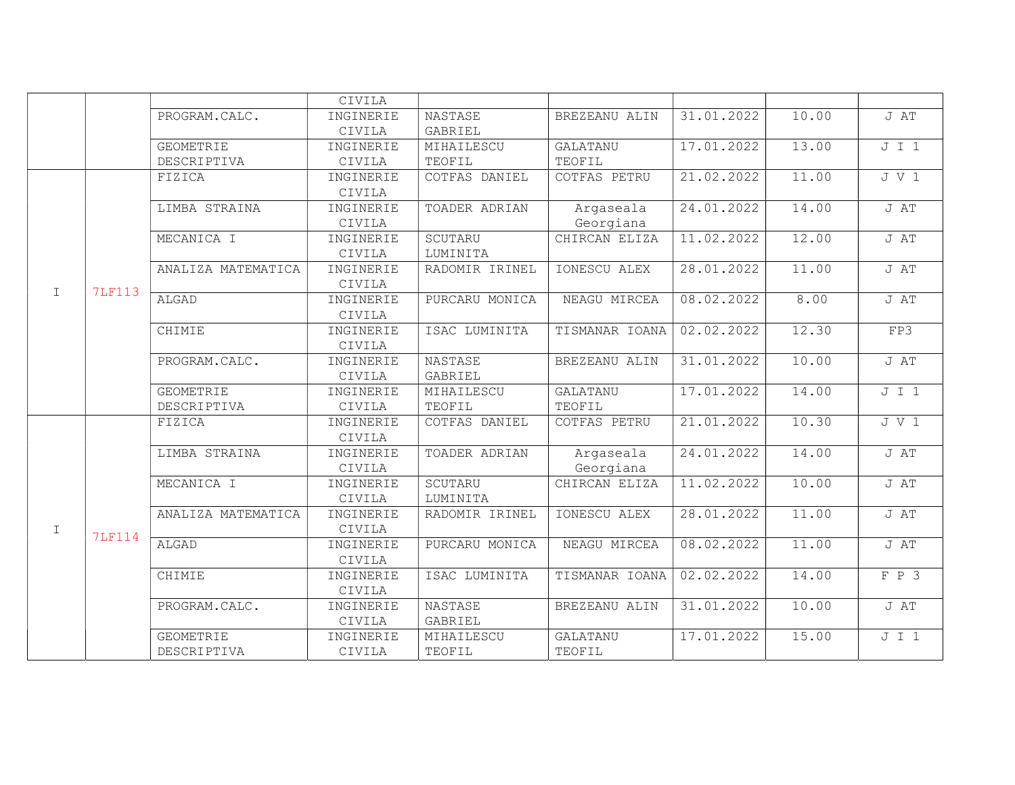|              |               |                    | CIVILA              |                    |                 |            |       |       |
|--------------|---------------|--------------------|---------------------|--------------------|-----------------|------------|-------|-------|
|              |               | PROGRAM.CALC.      | INGINERIE           | NASTASE<br>GABRIEL | BREZEANU ALIN   | 31.01.2022 | 10.00 | J AT  |
|              |               | <b>GEOMETRIE</b>   | CIVILA<br>INGINERIE | MIHAILESCU         | <b>GALATANU</b> | 17.01.2022 | 13.00 | J I 1 |
|              |               | DESCRIPTIVA        | CIVILA              | TEOFIL             | TEOFIL          |            |       |       |
|              |               | FIZICA             | INGINERIE           | COTFAS DANIEL      | COTFAS PETRU    | 21.02.2022 | 11.00 | J V 1 |
|              |               |                    | CIVILA              |                    |                 |            |       |       |
|              |               | LIMBA STRAINA      | INGINERIE           | TOADER ADRIAN      | Argaseala       | 24.01.2022 | 14.00 | J AT  |
|              |               |                    | CIVILA              |                    | Georgiana       |            |       |       |
|              |               | MECANICA I         | INGINERIE           | SCUTARU            | CHIRCAN ELIZA   | 11.02.2022 | 12.00 | J AT  |
|              |               |                    | CIVILA              | LUMINITA           |                 |            |       |       |
|              |               | ANALIZA MATEMATICA | INGINERIE           | RADOMIR IRINEL     | IONESCU ALEX    | 28.01.2022 | 11.00 | J AT  |
|              |               |                    | CIVILA              |                    |                 |            |       |       |
| $\mathbf I$  | <b>7LF113</b> | ALGAD              | INGINERIE           | PURCARU MONICA     | NEAGU MIRCEA    | 08.02.2022 | 8.00  | J AT  |
|              |               |                    | CIVILA              |                    |                 |            |       |       |
|              |               | CHIMIE             | INGINERIE           | ISAC LUMINITA      | TISMANAR IOANA  | 02.02.2022 | 12.30 | FP3   |
|              |               |                    | CIVILA              |                    |                 |            |       |       |
|              |               | PROGRAM.CALC.      | INGINERIE           | NASTASE            | BREZEANU ALIN   | 31.01.2022 | 10.00 | J AT  |
|              |               |                    | CIVILA              | GABRIEL            |                 |            |       |       |
|              |               | <b>GEOMETRIE</b>   | INGINERIE           | MIHAILESCU         | <b>GALATANU</b> | 17.01.2022 | 14.00 | J I 1 |
|              |               | DESCRIPTIVA        | CIVILA              | TEOFIL             | TEOFIL          |            |       |       |
|              | <b>7LF114</b> | FIZICA             | INGINERIE           | COTFAS DANIEL      | COTFAS PETRU    | 21.01.2022 | 10.30 | J V 1 |
|              |               |                    | CIVILA              |                    |                 |            |       |       |
|              |               | LIMBA STRAINA      | INGINERIE           | TOADER ADRIAN      | Argaseala       | 24.01.2022 | 14.00 | J AT  |
|              |               |                    | CIVILA              |                    | Georgiana       |            |       |       |
|              |               | MECANICA I         | INGINERIE           | SCUTARU            | CHIRCAN ELIZA   | 11.02.2022 | 10.00 | J AT  |
|              |               |                    | CIVILA              | LUMINITA           |                 |            |       |       |
|              |               | ANALIZA MATEMATICA | INGINERIE           | RADOMIR IRINEL     | IONESCU ALEX    | 28.01.2022 | 11.00 | J AT  |
| $\mathbf{I}$ |               |                    | CIVILA              |                    |                 |            |       |       |
|              |               | ALGAD              | INGINERIE           | PURCARU MONICA     | NEAGU MIRCEA    | 08.02.2022 | 11.00 | J AT  |
|              |               |                    | CIVILA              |                    |                 |            |       |       |
|              |               | CHIMIE             | INGINERIE           | ISAC LUMINITA      | TISMANAR IOANA  | 02.02.2022 | 14.00 | F P 3 |
|              |               |                    | CIVILA              |                    |                 |            |       |       |
|              |               | PROGRAM.CALC.      | INGINERIE           | NASTASE            | BREZEANU ALIN   | 31.01.2022 | 10.00 | J AT  |
|              |               |                    | CIVILA              | GABRIEL            |                 |            |       |       |
|              |               | GEOMETRIE          | INGINERIE           | MIHAILESCU         | <b>GALATANU</b> | 17.01.2022 | 15.00 | J I 1 |
|              |               | DESCRIPTIVA        | CIVILA              | TEOFIL             | TEOFIL          |            |       |       |